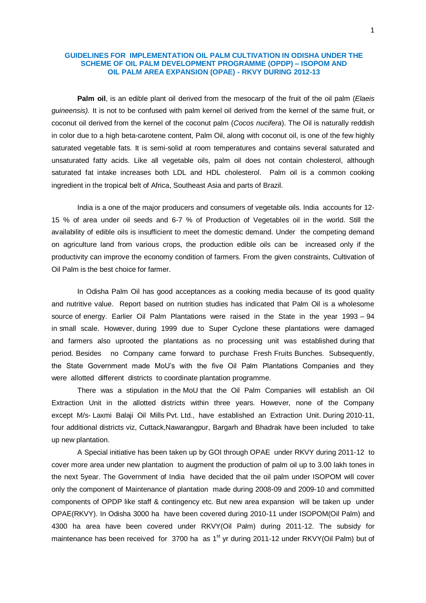# **GUIDELINES FOR IMPLEMENTATION OIL PALM CULTIVATION IN ODISHA UNDER THE SCHEME OF OIL PALM DEVELOPMENT PROGRAMME (OPDP) – ISOPOM AND OIL PALM AREA EXPANSION (OPAE) - RKVY DURING 2012-13**

**Palm oil**, is an edible [plant oil](http://en.wikipedia.org/wiki/Vegetable_fats_and_oils) derived from the [mesocarp](http://en.wikipedia.org/wiki/Mesocarp) of the fruit of the [oil palm](http://en.wikipedia.org/wiki/Oil_palm) (*Elaeis guineensis).* It is not to be confused with [palm kernel oil](http://en.wikipedia.org/wiki/Palm_kernel_oil) derived from the kernel of the same fruit, or [coconut oil](http://en.wikipedia.org/wiki/Coconut_oil) derived from the kernel of the coconut palm (*[Cocos nucifera](http://en.wikipedia.org/wiki/Cocos_nucifera)*). The Oil is naturally reddish in color due to a high [beta-carotene](http://en.wikipedia.org/wiki/Beta-carotene) content, Palm Oil, along with coconut oil, is one of the few highly [saturated](http://en.wikipedia.org/wiki/Saturated_fats) vegetable fats. It is semi-solid at [room temperatures](http://en.wikipedia.org/wiki/Room_temperature) and contains several saturated and [unsaturated fatt](http://en.wikipedia.org/wiki/Unsaturated_fat)y acids. Like all [vegetable oils,](http://en.wikipedia.org/wiki/Vegetable_oil) palm oil does not contain [cholesterol,](http://en.wikipedia.org/wiki/Cholesterol) although saturated fat intake increases both [LDL](http://en.wikipedia.org/wiki/LDL) and [HDL](http://en.wikipedia.org/wiki/High-density_lipoprotein) cholesterol. Palm oil is a common cooking ingredient in the tropical belt of [Africa,](http://en.wikipedia.org/wiki/Africa) [Southeast Asia](http://en.wikipedia.org/wiki/Southeast_Asia) and parts of [Brazil.](http://en.wikipedia.org/wiki/Brazil)

India is a one of the major producers and consumers of vegetable oils. India accounts for 12- 15 % of area under oil seeds and 6-7 % of Production of Vegetables oil in the world. Still the availability of edible oils is insufficient to meet the domestic demand. Under the competing demand on agriculture land from various crops, the production edible oils can be increased only if the productivity can improve the economy condition of farmers. From the given constraints, Cultivation of Oil Palm is the best choice for farmer.

In Odisha Palm Oil has good acceptances as a cooking media because of its good quality and nutritive value. Report based on nutrition studies has indicated that Palm Oil is a wholesome source of energy. Earlier Oil Palm Plantations were raised in the State in the year 1993 – 94 in small scale. However, during 1999 due to Super Cyclone these plantations were damaged and farmers also uprooted the plantations as no processing unit was established during that period. Besides no Company came forward to purchase Fresh Fruits Bunches. Subsequently, the State Government made MoU's with the five Oil Palm Plantations Companies and they were allotted different districts to coordinate plantation programme.

There was a stipulation in the MoU that the Oil Palm Companies will establish an Oil Extraction Unit in the allotted districts within three years. However, none of the Company except M/s- Laxmi Balaji Oil Mills Pvt. Ltd., have established an Extraction Unit. During 2010-11, four additional districts viz, Cuttack,Nawarangpur, Bargarh and Bhadrak have been included to take up new plantation.

A Special initiative has been taken up by GOI through OPAE under RKVY during 2011-12 to cover more area under new plantation to augment the production of palm oil up to 3.00 lakh tones in the next 5year. The Government of India have decided that the oil palm under ISOPOM will cover only the component of Maintenance of plantation made during 2008-09 and 2009-10 and committed components of OPDP like staff & contingency etc. But new area expansion will be taken up under OPAE(RKVY). In Odisha 3000 ha have been covered during 2010-11 under ISOPOM(Oil Palm) and 4300 ha area have been covered under RKVY(Oil Palm) during 2011-12. The subsidy for maintenance has been received for 3700 ha as 1<sup>st</sup> yr during 2011-12 under RKVY(Oil Palm) but of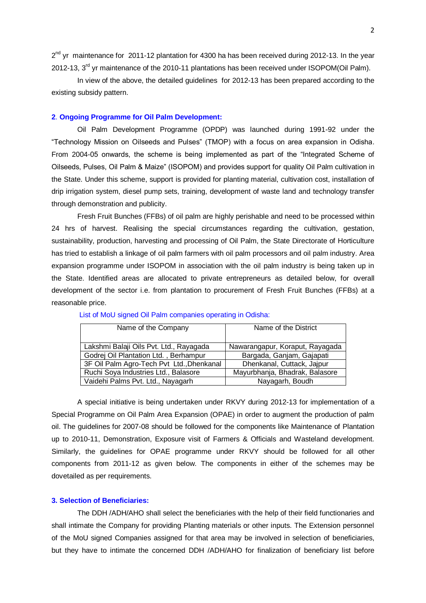2<sup>nd</sup> yr maintenance for 2011-12 plantation for 4300 ha has been received during 2012-13. In the year 2012-13, 3<sup>rd</sup> yr maintenance of the 2010-11 plantations has been received under ISOPOM(Oil Palm).

In view of the above, the detailed guidelines for 2012-13 has been prepared according to the existing subsidy pattern.

## **2**. **Ongoing Programme for Oil Palm Development:**

Oil Palm Development Programme (OPDP) was launched during 1991-92 under the "Technology Mission on Oilseeds and Pulses" (TMOP) with a focus on area expansion in Odisha. From 2004-05 onwards, the scheme is being implemented as part of the "Integrated Scheme of Oilseeds, Pulses, Oil Palm & Maize" (ISOPOM) and provides support for quality Oil Palm cultivation in the State. Under this scheme, support is provided for planting material, cultivation cost, installation of drip irrigation system, diesel pump sets, training, development of waste land and technology transfer through demonstration and publicity.

Fresh Fruit Bunches (FFBs) of oil palm are highly perishable and need to be processed within 24 hrs of harvest. Realising the special circumstances regarding the cultivation, gestation, sustainability, production, harvesting and processing of Oil Palm, the State Directorate of Horticulture has tried to establish a linkage of oil palm farmers with oil palm processors and oil palm industry. Area expansion programme under ISOPOM in association with the oil palm industry is being taken up in the State. Identified areas are allocated to private entrepreneurs as detailed below, for overall development of the sector i.e. from plantation to procurement of Fresh Fruit Bunches (FFBs) at a reasonable price.

| Name of the Company                       | Name of the District            |  |  |
|-------------------------------------------|---------------------------------|--|--|
|                                           |                                 |  |  |
| Lakshmi Balaji Oils Pvt. Ltd., Rayagada   | Nawarangapur, Koraput, Rayagada |  |  |
| Godrej Oil Plantation Ltd., Berhampur     | Bargada, Ganjam, Gajapati       |  |  |
| 3F Oil Palm Agro-Tech Pvt Ltd., Dhenkanal | Dhenkanal, Cuttack, Jajpur      |  |  |
| Ruchi Soya Industries Ltd., Balasore      | Mayurbhanja, Bhadrak, Balasore  |  |  |
| Vaidehi Palms Pvt. Ltd., Nayagarh         | Nayagarh, Boudh                 |  |  |

#### List of MoU signed Oil Palm companies operating in Odisha:

A special initiative is being undertaken under RKVY during 2012-13 for implementation of a Special Programme on Oil Palm Area Expansion (OPAE) in order to augment the production of palm oil. The guidelines for 2007-08 should be followed for the components like Maintenance of Plantation up to 2010-11, Demonstration, Exposure visit of Farmers & Officials and Wasteland development. Similarly, the guidelines for OPAE programme under RKVY should be followed for all other components from 2011-12 as given below. The components in either of the schemes may be dovetailed as per requirements.

# **3. Selection of Beneficiaries:**

The DDH /ADH/AHO shall select the beneficiaries with the help of their field functionaries and shall intimate the Company for providing Planting materials or other inputs. The Extension personnel of the MoU signed Companies assigned for that area may be involved in selection of beneficiaries, but they have to intimate the concerned DDH /ADH/AHO for finalization of beneficiary list before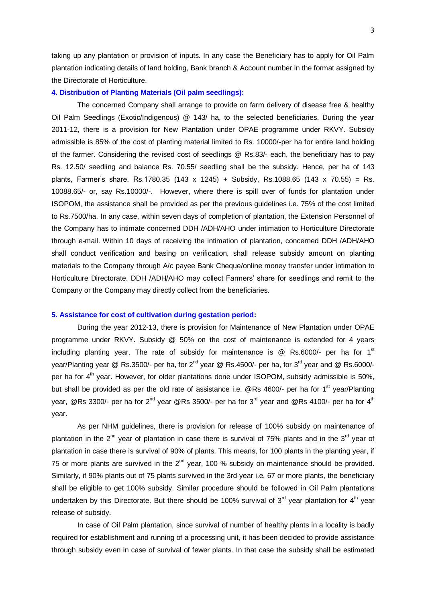taking up any plantation or provision of inputs. In any case the Beneficiary has to apply for Oil Palm plantation indicating details of land holding, Bank branch & Account number in the format assigned by the Directorate of Horticulture.

#### **4. Distribution of Planting Materials (Oil palm seedlings):**

The concerned Company shall arrange to provide on farm delivery of disease free & healthy Oil Palm Seedlings (Exotic/Indigenous) @ 143/ ha, to the selected beneficiaries. During the year 2011-12, there is a provision for New Plantation under OPAE programme under RKVY. Subsidy admissible is 85% of the cost of planting material limited to Rs. 10000/-per ha for entire land holding of the farmer. Considering the revised cost of seedlings @ Rs.83/- each, the beneficiary has to pay Rs. 12.50/ seedling and balance Rs. 70.55/ seedling shall be the subsidy. Hence, per ha of 143 plants, Farmer's share, Rs.1780.35 (143 x 1245) + Subsidy, Rs.1088.65 (143 x 70.55) = Rs. 10088.65/- or, say Rs.10000/-. However, where there is spill over of funds for plantation under ISOPOM, the assistance shall be provided as per the previous guidelines i.e. 75% of the cost limited to Rs.7500/ha. In any case, within seven days of completion of plantation, the Extension Personnel of the Company has to intimate concerned DDH /ADH/AHO under intimation to Horticulture Directorate through e-mail. Within 10 days of receiving the intimation of plantation, concerned DDH /ADH/AHO shall conduct verification and basing on verification, shall release subsidy amount on planting materials to the Company through A/c payee Bank Cheque/online money transfer under intimation to Horticulture Directorate. DDH /ADH/AHO may collect Farmers' share for seedlings and remit to the Company or the Company may directly collect from the beneficiaries.

#### **5. Assistance for cost of cultivation during gestation period:**

During the year 2012-13, there is provision for Maintenance of New Plantation under OPAE programme under RKVY. Subsidy @ 50% on the cost of maintenance is extended for 4 years including planting year. The rate of subsidy for maintenance is  $\omega$  Rs.6000/- per ha for 1<sup>st</sup> year/Planting year @ Rs.3500/- per ha, for  $2^{nd}$  year @ Rs.4500/- per ha, for 3<sup>rd</sup> year and @ Rs.6000/per ha for 4<sup>th</sup> year. However, for older plantations done under ISOPOM, subsidy admissible is 50%, but shall be provided as per the old rate of assistance i.e.  $QRs$  4600/- per ha for 1<sup>st</sup> year/Planting year, @Rs 3300/- per ha for 2<sup>nd</sup> year @Rs 3500/- per ha for 3<sup>rd</sup> year and @Rs 4100/- per ha for 4<sup>th</sup> year.

As per NHM guidelines, there is provision for release of 100% subsidy on maintenance of plantation in the  $2^{nd}$  year of plantation in case there is survival of 75% plants and in the  $3^{rd}$  year of plantation in case there is survival of 90% of plants. This means, for 100 plants in the planting year, if 75 or more plants are survived in the  $2^{nd}$  year, 100 % subsidy on maintenance should be provided. Similarly, if 90% plants out of 75 plants survived in the 3rd year i.e. 67 or more plants, the beneficiary shall be eligible to get 100% subsidy. Similar procedure should be followed in Oil Palm plantations undertaken by this Directorate. But there should be 100% survival of  $3<sup>rd</sup>$  year plantation for  $4<sup>th</sup>$  year release of subsidy.

In case of Oil Palm plantation, since survival of number of healthy plants in a locality is badly required for establishment and running of a processing unit, it has been decided to provide assistance through subsidy even in case of survival of fewer plants. In that case the subsidy shall be estimated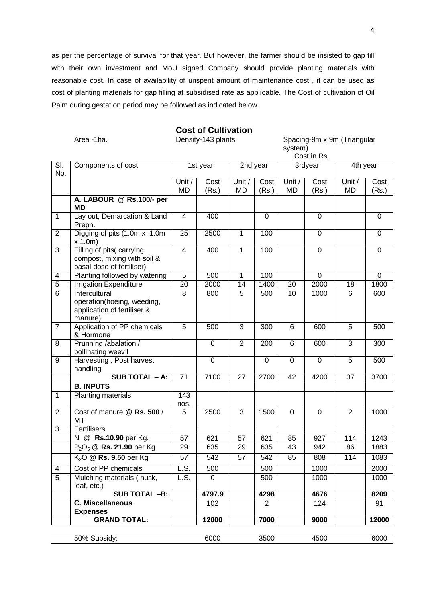as per the percentage of survival for that year. But however, the farmer should be insisted to gap fill with their own investment and MoU signed Company should provide planting materials with reasonable cost. In case of availability of unspent amount of maintenance cost , it can be used as cost of planting materials for gap filling at subsidised rate as applicable. The Cost of cultivation of Oil Palm during gestation period may be followed as indicated below.

# **Cost of Cultivation**

Area -1ha. Charlotte Chensity-143 plants Chensical Spacing-9m x 9m (Triangular system) Cost in Re.

|                |                                                                                       |                     |             |                     |                |              | CUSL III NS.  |                |               |
|----------------|---------------------------------------------------------------------------------------|---------------------|-------------|---------------------|----------------|--------------|---------------|----------------|---------------|
| SI.<br>No.     | Components of cost                                                                    |                     | 1st year    | 2nd year            |                | 3rdyear      |               | 4th year       |               |
|                |                                                                                       | Unit /<br><b>MD</b> | Cost        | Unit /<br><b>MD</b> | Cost<br>(Rs.)  | Unit /<br>MD | Cost<br>(Rs.) | Unit /<br>MD   | Cost<br>(Rs.) |
|                | A. LABOUR @ Rs.100/- per                                                              |                     | (Rs.)       |                     |                |              |               |                |               |
|                | MD                                                                                    |                     |             |                     |                |              |               |                |               |
| 1              | Lay out, Demarcation & Land<br>Prepn.                                                 | 4                   | 400         |                     | $\mathbf 0$    |              | $\mathbf 0$   |                | $\mathbf 0$   |
| $\overline{2}$ | Digging of pits (1.0m x 1.0m<br>x 1.0m                                                | 25                  | 2500        | 1                   | 100            |              | $\mathbf 0$   |                | 0             |
| 3              | Filling of pits(carrying<br>compost, mixing with soil &<br>basal dose of fertiliser)  | 4                   | 400         | 1                   | 100            |              | $\mathbf 0$   |                | $\mathbf 0$   |
| 4              | Planting followed by watering                                                         | 5                   | 500         | 1                   | 100            |              | $\mathbf 0$   |                | 0             |
| $\overline{5}$ | <b>Irrigation Expenditure</b>                                                         | 20                  | 2000        | 14                  | 1400           | 20           | 2000          | 18             | 1800          |
| 6              | Intercultural<br>operation(hoeing, weeding,<br>application of fertiliser &<br>manure) | 8                   | 800         | 5                   | 500            | 10           | 1000          | 6              | 600           |
| $\overline{7}$ | Application of PP chemicals<br>& Hormone                                              | 5                   | 500         | 3                   | 300            | 6            | 600           | 5              | 500           |
| 8              | Prunning /abalation /<br>pollinating weevil                                           |                     | $\mathbf 0$ | $\overline{2}$      | 200            | 6            | 600           | $\overline{3}$ | 300           |
| 9              | Harvesting, Post harvest<br>handling                                                  |                     | $\mathbf 0$ |                     | $\mathbf 0$    | $\mathbf 0$  | $\mathbf 0$   | 5              | 500           |
|                | <b>SUB TOTAL - A:</b>                                                                 | 71                  | 7100        | 27                  | 2700           | 42           | 4200          | 37             | 3700          |
|                | <b>B. INPUTS</b>                                                                      |                     |             |                     |                |              |               |                |               |
| $\mathbf{1}$   | Planting materials                                                                    | 143<br>nos.         |             |                     |                |              |               |                |               |
| $\overline{2}$ | Cost of manure @ Rs. 500 /<br>MT                                                      | 5                   | 2500        | 3                   | 1500           | $\mathbf 0$  | $\mathbf 0$   | $\overline{2}$ | 1000          |
| 3              | Fertilisers                                                                           |                     |             |                     |                |              |               |                |               |
|                | N @ Rs.10.90 per Kg.                                                                  | 57                  | 621         | 57                  | 621            | 85           | 927           | 114            | 1243          |
|                | P <sub>2</sub> O <sub>5</sub> @ Rs. 21.90 per Kg                                      | 29                  | 635         | 29                  | 635            | 43           | 942           | 86             | 1883          |
|                | $K2O$ @ Rs. 9.50 per Kg                                                               | 57                  | 542         | 57                  | 542            | 85           | 808           | 114            | 1083          |
| 4              | Cost of PP chemicals                                                                  | L.S.                | 500         |                     | 500            |              | 1000          |                | 2000          |
| $\overline{5}$ | Mulching materials (husk,<br>leaf, etc.)                                              | L.S.                | 0           |                     | 500            |              | 1000          |                | 1000          |
|                | <b>SUB TOTAL -B:</b>                                                                  |                     | 4797.9      |                     | 4298           |              | 4676          |                | 8209          |
|                | <b>C. Miscellaneous</b><br><b>Expenses</b>                                            |                     | 102         |                     | $\overline{2}$ |              | 124           |                | 91            |
|                | <b>GRAND TOTAL:</b>                                                                   |                     | 12000       |                     | 7000           |              | 9000          |                | 12000         |
|                |                                                                                       |                     |             |                     |                |              |               |                |               |
|                | 50% Subsidy:                                                                          |                     | 6000        |                     | 3500           |              | 4500          |                | 6000          |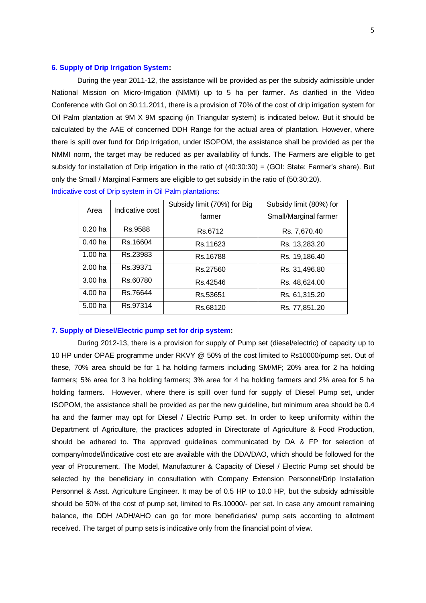## **6. Supply of Drip Irrigation System:**

During the year 2011-12, the assistance will be provided as per the subsidy admissible under National Mission on Micro-Irrigation (NMMI) up to 5 ha per farmer. As clarified in the Video Conference with GoI on 30.11.2011, there is a provision of 70% of the cost of drip irrigation system for Oil Palm plantation at 9M X 9M spacing (in Triangular system) is indicated below. But it should be calculated by the AAE of concerned DDH Range for the actual area of plantation. However, where there is spill over fund for Drip Irrigation, under ISOPOM, the assistance shall be provided as per the NMMI norm, the target may be reduced as per availability of funds. The Farmers are eligible to get subsidy for installation of Drip irrigation in the ratio of (40:30:30) = (GOI: State: Farmer's share). But only the Small / Marginal Farmers are eligible to get subsidy in the ratio of (50:30:20).

| Area               | Indicative cost | Subsidy limit (70%) for Big | Subsidy limit (80%) for |  |  |
|--------------------|-----------------|-----------------------------|-------------------------|--|--|
|                    |                 | farmer                      | Small/Marginal farmer   |  |  |
| $0.20$ ha          | Rs.9588         | Rs.6712                     | Rs. 7,670.40            |  |  |
| 0.40 <sub>ha</sub> | Rs.16604        | Rs.11623                    | Rs. 13,283.20           |  |  |
| 1.00 <sub>ha</sub> | Rs.23983        | Rs. 16788                   | Rs. 19,186.40           |  |  |
| 2.00 <sub>ha</sub> | Rs.39371        | Rs.27560                    | Rs. 31,496.80           |  |  |
| 3.00 <sub>ha</sub> | Rs.60780        | Rs.42546                    | Rs. 48,624.00           |  |  |
| 4.00 <sub>ha</sub> | Rs.76644        | Rs.53651                    | Rs. 61,315.20           |  |  |
| 5.00 ha            | Rs.97314        | Rs.68120                    | Rs. 77,851.20           |  |  |

Indicative cost of Drip system in Oil Palm plantations:

#### **7. Supply of Diesel/Electric pump set for drip system:**

During 2012-13, there is a provision for supply of Pump set (diesel/electric) of capacity up to 10 HP under OPAE programme under RKVY @ 50% of the cost limited to Rs10000/pump set. Out of these, 70% area should be for 1 ha holding farmers including SM/MF; 20% area for 2 ha holding farmers; 5% area for 3 ha holding farmers; 3% area for 4 ha holding farmers and 2% area for 5 ha holding farmers. However, where there is spill over fund for supply of Diesel Pump set, under ISOPOM, the assistance shall be provided as per the new guideline, but minimum area should be 0.4 ha and the farmer may opt for Diesel / Electric Pump set. In order to keep uniformity within the Department of Agriculture, the practices adopted in Directorate of Agriculture & Food Production, should be adhered to. The approved guidelines communicated by DA & FP for selection of company/model/indicative cost etc are available with the DDA/DAO, which should be followed for the year of Procurement. The Model, Manufacturer & Capacity of Diesel / Electric Pump set should be selected by the beneficiary in consultation with Company Extension Personnel/Drip Installation Personnel & Asst. Agriculture Engineer. It may be of 0.5 HP to 10.0 HP, but the subsidy admissible should be 50% of the cost of pump set, limited to Rs.10000/- per set. In case any amount remaining balance, the DDH /ADH/AHO can go for more beneficiaries/ pump sets according to allotment received. The target of pump sets is indicative only from the financial point of view.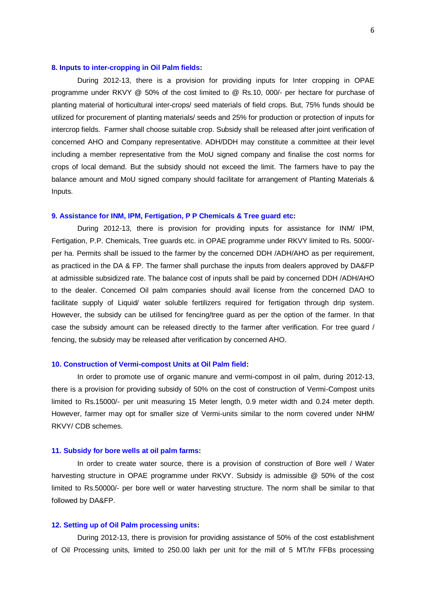#### **8. Inputs to inter-cropping in Oil Palm fields:**

During 2012-13, there is a provision for providing inputs for Inter cropping in OPAE programme under RKVY @ 50% of the cost limited to @ Rs.10, 000/- per hectare for purchase of planting material of horticultural inter-crops/ seed materials of field crops. But, 75% funds should be utilized for procurement of planting materials/ seeds and 25% for production or protection of inputs for intercrop fields. Farmer shall choose suitable crop. Subsidy shall be released after joint verification of concerned AHO and Company representative. ADH/DDH may constitute a committee at their level including a member representative from the MoU signed company and finalise the cost norms for crops of local demand. But the subsidy should not exceed the limit. The farmers have to pay the balance amount and MoU signed company should facilitate for arrangement of Planting Materials & Inputs.

# **9. Assistance for INM, IPM, Fertigation, P P Chemicals & Tree guard etc:**

During 2012-13, there is provision for providing inputs for assistance for INM/ IPM, Fertigation, P.P. Chemicals, Tree guards etc. in OPAE programme under RKVY limited to Rs. 5000/ per ha. Permits shall be issued to the farmer by the concerned DDH /ADH/AHO as per requirement, as practiced in the DA & FP. The farmer shall purchase the inputs from dealers approved by DA&FP at admissible subsidized rate. The balance cost of inputs shall be paid by concerned DDH /ADH/AHO to the dealer. Concerned Oil palm companies should avail license from the concerned DAO to facilitate supply of Liquid/ water soluble fertilizers required for fertigation through drip system. However, the subsidy can be utilised for fencing/tree guard as per the option of the farmer. In that case the subsidy amount can be released directly to the farmer after verification. For tree guard / fencing, the subsidy may be released after verification by concerned AHO.

#### **10. Construction of Vermi-compost Units at Oil Palm field:**

In order to promote use of organic manure and vermi-compost in oil palm, during 2012-13, there is a provision for providing subsidy of 50% on the cost of construction of Vermi-Compost units limited to Rs.15000/- per unit measuring 15 Meter length, 0.9 meter width and 0.24 meter depth. However, farmer may opt for smaller size of Vermi-units similar to the norm covered under NHM/ RKVY/ CDB schemes.

## **11. Subsidy for bore wells at oil palm farms:**

In order to create water source, there is a provision of construction of Bore well / Water harvesting structure in OPAE programme under RKVY. Subsidy is admissible @ 50% of the cost limited to Rs.50000/- per bore well or water harvesting structure. The norm shall be similar to that followed by DA&FP.

#### **12. Setting up of Oil Palm processing units:**

During 2012-13, there is provision for providing assistance of 50% of the cost establishment of Oil Processing units, limited to 250.00 lakh per unit for the mill of 5 MT/hr FFBs processing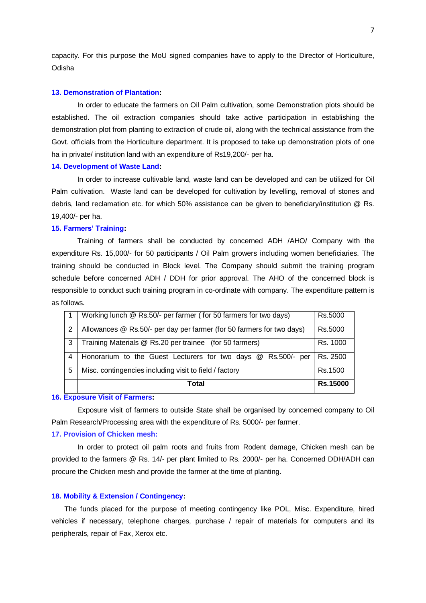capacity. For this purpose the MoU signed companies have to apply to the Director of Horticulture, Odisha

#### **13. Demonstration of Plantation:**

In order to educate the farmers on Oil Palm cultivation, some Demonstration plots should be established. The oil extraction companies should take active participation in establishing the demonstration plot from planting to extraction of crude oil, along with the technical assistance from the Govt. officials from the Horticulture department. It is proposed to take up demonstration plots of one ha in private/ institution land with an expenditure of Rs19,200/- per ha.

#### **14. Development of Waste Land:**

In order to increase cultivable land, waste land can be developed and can be utilized for Oil Palm cultivation. Waste land can be developed for cultivation by levelling, removal of stones and debris, land reclamation etc. for which 50% assistance can be given to beneficiary/institution @ Rs. 19,400/- per ha.

## **15. Farmers' Training:**

Training of farmers shall be conducted by concerned ADH /AHO/ Company with the expenditure Rs. 15,000/- for 50 participants / Oil Palm growers including women beneficiaries. The training should be conducted in Block level. The Company should submit the training program schedule before concerned ADH / DDH for prior approval. The AHO of the concerned block is responsible to conduct such training program in co-ordinate with company. The expenditure pattern is as follows.

|   | Working lunch @ Rs.50/- per farmer (for 50 farmers for two days)      |                 |  |  |
|---|-----------------------------------------------------------------------|-----------------|--|--|
| 2 | Allowances @ Rs.50/- per day per farmer (for 50 farmers for two days) |                 |  |  |
| 3 | Training Materials @ Rs.20 per trainee (for 50 farmers)               | Rs. 1000        |  |  |
| 4 | Honorarium to the Guest Lecturers for two days @ Rs.500/- per         | Rs. 2500        |  |  |
| 5 | Misc. contingencies including visit to field / factory                | Rs.1500         |  |  |
|   | Total                                                                 | <b>Rs.15000</b> |  |  |

# **16. Exposure Visit of Farmers:**

Exposure visit of farmers to outside State shall be organised by concerned company to Oil Palm Research/Processing area with the expenditure of Rs. 5000/- per farmer.

# **17. Provision of Chicken mesh:**

In order to protect oil palm roots and fruits from Rodent damage, Chicken mesh can be provided to the farmers @ Rs. 14/- per plant limited to Rs. 2000/- per ha. Concerned DDH/ADH can procure the Chicken mesh and provide the farmer at the time of planting.

## **18. Mobility & Extension / Contingency:**

The funds placed for the purpose of meeting contingency like POL, Misc. Expenditure, hired vehicles if necessary, telephone charges, purchase / repair of materials for computers and its peripherals, repair of Fax, Xerox etc.